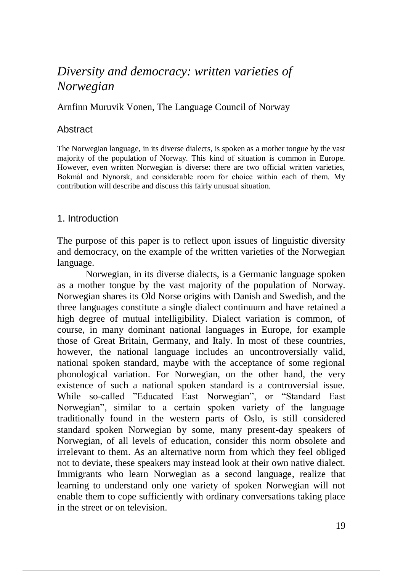# *Diversity and democracy: written varieties of Norwegian*

### Arnfinn Muruvik Vonen, The Language Council of Norway

## **Abstract**

The Norwegian language, in its diverse dialects, is spoken as a mother tongue by the vast majority of the population of Norway. This kind of situation is common in Europe. However, even written Norwegian is diverse: there are two official written varieties, Bokmål and Nynorsk, and considerable room for choice within each of them. My contribution will describe and discuss this fairly unusual situation.

## 1. Introduction

The purpose of this paper is to reflect upon issues of linguistic diversity and democracy, on the example of the written varieties of the Norwegian language.

Norwegian, in its diverse dialects, is a Germanic language spoken as a mother tongue by the vast majority of the population of Norway. Norwegian shares its Old Norse origins with Danish and Swedish, and the three languages constitute a single dialect continuum and have retained a high degree of mutual intelligibility. Dialect variation is common, of course, in many dominant national languages in Europe, for example those of Great Britain, Germany, and Italy. In most of these countries, however, the national language includes an uncontroversially valid, national spoken standard, maybe with the acceptance of some regional phonological variation. For Norwegian, on the other hand, the very existence of such a national spoken standard is a controversial issue. While so-called "Educated East Norwegian", or "Standard East Norwegian", similar to a certain spoken variety of the language traditionally found in the western parts of Oslo, is still considered standard spoken Norwegian by some, many present-day speakers of Norwegian, of all levels of education, consider this norm obsolete and irrelevant to them. As an alternative norm from which they feel obliged not to deviate, these speakers may instead look at their own native dialect. Immigrants who learn Norwegian as a second language, realize that learning to understand only one variety of spoken Norwegian will not enable them to cope sufficiently with ordinary conversations taking place in the street or on television.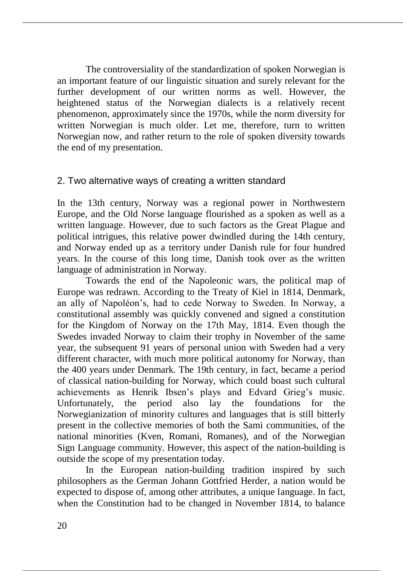The controversiality of the standardization of spoken Norwegian is an important feature of our linguistic situation and surely relevant for the further development of our written norms as well. However, the heightened status of the Norwegian dialects is a relatively recent phenomenon, approximately since the 1970s, while the norm diversity for written Norwegian is much older. Let me, therefore, turn to written Norwegian now, and rather return to the role of spoken diversity towards the end of my presentation.

## 2. Two alternative ways of creating a written standard

In the 13th century, Norway was a regional power in Northwestern Europe, and the Old Norse language flourished as a spoken as well as a written language. However, due to such factors as the Great Plague and political intrigues, this relative power dwindled during the 14th century, and Norway ended up as a territory under Danish rule for four hundred years. In the course of this long time, Danish took over as the written language of administration in Norway.

Towards the end of the Napoleonic wars, the political map of Europe was redrawn. According to the Treaty of Kiel in 1814, Denmark, an ally of Napoléon's, had to cede Norway to Sweden. In Norway, a constitutional assembly was quickly convened and signed a constitution for the Kingdom of Norway on the 17th May, 1814. Even though the Swedes invaded Norway to claim their trophy in November of the same year, the subsequent 91 years of personal union with Sweden had a very different character, with much more political autonomy for Norway, than the 400 years under Denmark. The 19th century, in fact, became a period of classical nation-building for Norway, which could boast such cultural achievements as Henrik Ibsen's plays and Edvard Grieg's music. Unfortunately, the period also lay the foundations for the Norwegianization of minority cultures and languages that is still bitterly present in the collective memories of both the Sami communities, of the national minorities (Kven, Romani, Romanes), and of the Norwegian Sign Language community. However, this aspect of the nation-building is outside the scope of my presentation today.

In the European nation-building tradition inspired by such philosophers as the German Johann Gottfried Herder, a nation would be expected to dispose of, among other attributes, a unique language. In fact, when the Constitution had to be changed in November 1814, to balance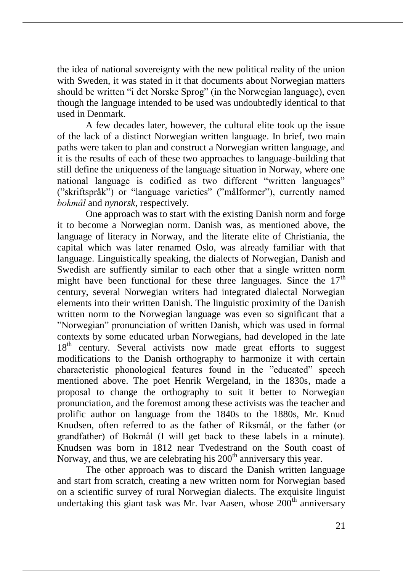the idea of national sovereignty with the new political reality of the union with Sweden, it was stated in it that documents about Norwegian matters should be written "i det Norske Sprog" (in the Norwegian language), even though the language intended to be used was undoubtedly identical to that used in Denmark.

A few decades later, however, the cultural elite took up the issue of the lack of a distinct Norwegian written language. In brief, two main paths were taken to plan and construct a Norwegian written language, and it is the results of each of these two approaches to language-building that still define the uniqueness of the language situation in Norway, where one national language is codified as two different "written languages" ("skriftspråk") or "language varieties" ("målformer"), currently named *bokmål* and *nynorsk*, respectively.

One approach was to start with the existing Danish norm and forge it to become a Norwegian norm. Danish was, as mentioned above, the language of literacy in Norway, and the literate elite of Christiania, the capital which was later renamed Oslo, was already familiar with that language. Linguistically speaking, the dialects of Norwegian, Danish and Swedish are suffiently similar to each other that a single written norm might have been functional for these three languages. Since the  $17<sup>th</sup>$ century, several Norwegian writers had integrated dialectal Norwegian elements into their written Danish. The linguistic proximity of the Danish written norm to the Norwegian language was even so significant that a "Norwegian" pronunciation of written Danish, which was used in formal contexts by some educated urban Norwegians, had developed in the late 18<sup>th</sup> century. Several activists now made great efforts to suggest modifications to the Danish orthography to harmonize it with certain characteristic phonological features found in the "educated" speech mentioned above. The poet Henrik Wergeland, in the 1830s, made a proposal to change the orthography to suit it better to Norwegian pronunciation, and the foremost among these activists was the teacher and prolific author on language from the 1840s to the 1880s, Mr. Knud Knudsen, often referred to as the father of Riksmål, or the father (or grandfather) of Bokmål (I will get back to these labels in a minute). Knudsen was born in 1812 near Tvedestrand on the South coast of Norway, and thus, we are celebrating his  $200<sup>th</sup>$  anniversary this year.

The other approach was to discard the Danish written language and start from scratch, creating a new written norm for Norwegian based on a scientific survey of rural Norwegian dialects. The exquisite linguist undertaking this giant task was Mr. Ivar Aasen, whose  $200<sup>th</sup>$  anniversary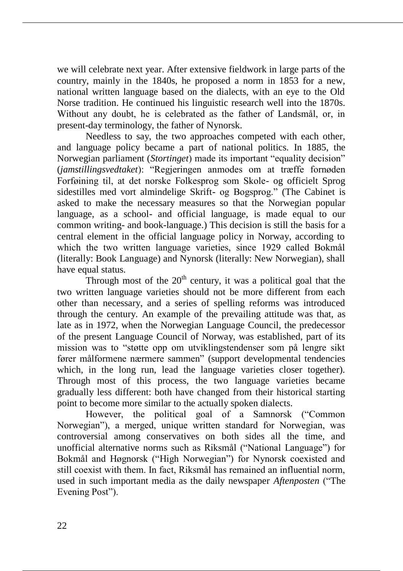we will celebrate next year. After extensive fieldwork in large parts of the country, mainly in the 1840s, he proposed a norm in 1853 for a new, national written language based on the dialects, with an eye to the Old Norse tradition. He continued his linguistic research well into the 1870s. Without any doubt, he is celebrated as the father of Landsmål, or, in present-day terminology, the father of Nynorsk.

Needless to say, the two approaches competed with each other, and language policy became a part of national politics. In 1885, the Norwegian parliament (*Stortinget*) made its important "equality decision" (*jamstillingsvedtaket*): "Regjeringen anmodes om at træffe fornøden Forføining til, at det norske Folkesprog som Skole- og officielt Sprog sidestilles med vort almindelige Skrift- og Bogsprog." (The Cabinet is asked to make the necessary measures so that the Norwegian popular language, as a school- and official language, is made equal to our common writing- and book-language.) This decision is still the basis for a central element in the official language policy in Norway, according to which the two written language varieties, since 1929 called Bokmål (literally: Book Language) and Nynorsk (literally: New Norwegian), shall have equal status.

Through most of the  $20<sup>th</sup>$  century, it was a political goal that the two written language varieties should not be more different from each other than necessary, and a series of spelling reforms was introduced through the century. An example of the prevailing attitude was that, as late as in 1972, when the Norwegian Language Council, the predecessor of the present Language Council of Norway, was established, part of its mission was to "støtte opp om utviklingstendenser som på lengre sikt fører målformene nærmere sammen" (support developmental tendencies which, in the long run, lead the language varieties closer together). Through most of this process, the two language varieties became gradually less different: both have changed from their historical starting point to become more similar to the actually spoken dialects.

However, the political goal of a Samnorsk ("Common Norwegian"), a merged, unique written standard for Norwegian, was controversial among conservatives on both sides all the time, and unofficial alternative norms such as Riksmål ("National Language") for Bokmål and Høgnorsk ("High Norwegian") for Nynorsk coexisted and still coexist with them. In fact, Riksmål has remained an influential norm, used in such important media as the daily newspaper *Aftenposten* ("The Evening Post").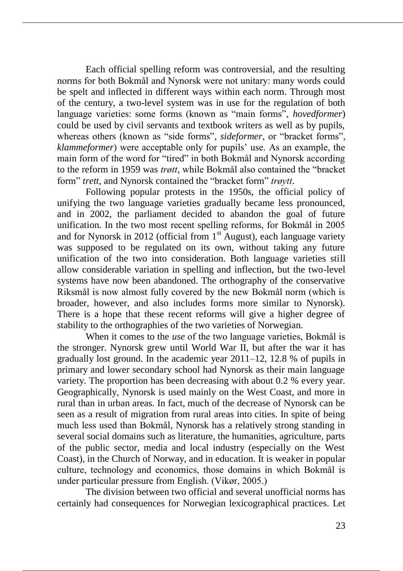Each official spelling reform was controversial, and the resulting norms for both Bokmål and Nynorsk were not unitary: many words could be spelt and inflected in different ways within each norm. Through most of the century, a two-level system was in use for the regulation of both language varieties: some forms (known as "main forms", *hovedformer*) could be used by civil servants and textbook writers as well as by pupils, whereas others (known as "side forms", *sideformer*, or "bracket forms", *klammeformer*) were acceptable only for pupils' use. As an example, the main form of the word for "tired" in both Bokmål and Nynorsk according to the reform in 1959 was *trøtt*, while Bokmål also contained the "bracket form" *trett*, and Nynorsk contained the "bracket form" *trøytt*.

Following popular protests in the 1950s, the official policy of unifying the two language varieties gradually became less pronounced, and in 2002, the parliament decided to abandon the goal of future unification. In the two most recent spelling reforms, for Bokmål in 2005 and for Nynorsk in 2012 (official from  $1<sup>st</sup>$  August), each language variety was supposed to be regulated on its own, without taking any future unification of the two into consideration. Both language varieties still allow considerable variation in spelling and inflection, but the two-level systems have now been abandoned. The orthography of the conservative Riksmål is now almost fully covered by the new Bokmål norm (which is broader, however, and also includes forms more similar to Nynorsk). There is a hope that these recent reforms will give a higher degree of stability to the orthographies of the two varieties of Norwegian.

When it comes to the *use* of the two language varieties, Bokmål is the stronger. Nynorsk grew until World War II, but after the war it has gradually lost ground. In the academic year 2011–12, 12.8 % of pupils in primary and lower secondary school had Nynorsk as their main language variety. The proportion has been decreasing with about 0.2 % every year. Geographically, Nynorsk is used mainly on the West Coast, and more in rural than in urban areas. In fact, much of the decrease of Nynorsk can be seen as a result of migration from rural areas into cities. In spite of being much less used than Bokmål, Nynorsk has a relatively strong standing in several social domains such as literature, the humanities, agriculture, parts of the public sector, media and local industry (especially on the West Coast), in the Church of Norway, and in education. It is weaker in popular culture, technology and economics, those domains in which Bokmål is under particular pressure from English. (Vikør, 2005.)

The division between two official and several unofficial norms has certainly had consequences for Norwegian lexicographical practices. Let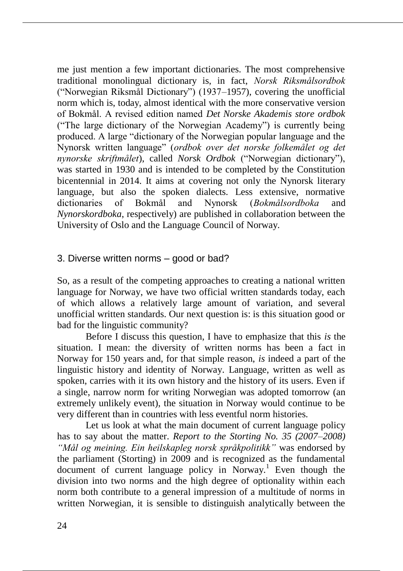me just mention a few important dictionaries. The most comprehensive traditional monolingual dictionary is, in fact, *Norsk Riksmålsordbok* ("Norwegian Riksmål Dictionary") (1937–1957), covering the unofficial norm which is, today, almost identical with the more conservative version of Bokmål. A revised edition named *Det Norske Akademis store ordbok*  ("The large dictionary of the Norwegian Academy") is currently being produced. A large "dictionary of the Norwegian popular language and the Nynorsk written language" (*ordbok over det norske folkemålet og det nynorske skriftmålet*), called *Norsk Ordbok* ("Norwegian dictionary"), was started in 1930 and is intended to be completed by the Constitution bicentennial in 2014. It aims at covering not only the Nynorsk literary language, but also the spoken dialects. Less extensive, normative dictionaries of Bokmål and Nynorsk (*Bokmålsordboka* and *Nynorskordboka*, respectively) are published in collaboration between the University of Oslo and the Language Council of Norway.

# 3. Diverse written norms – good or bad?

So, as a result of the competing approaches to creating a national written language for Norway, we have two official written standards today, each of which allows a relatively large amount of variation, and several unofficial written standards. Our next question is: is this situation good or bad for the linguistic community?

Before I discuss this question, I have to emphasize that this *is* the situation. I mean: the diversity of written norms has been a fact in Norway for 150 years and, for that simple reason, *is* indeed a part of the linguistic history and identity of Norway. Language, written as well as spoken, carries with it its own history and the history of its users. Even if a single, narrow norm for writing Norwegian was adopted tomorrow (an extremely unlikely event), the situation in Norway would continue to be very different than in countries with less eventful norm histories.

Let us look at what the main document of current language policy has to say about the matter. *Report to the Storting No. 35 (2007–2008) "Mål og meining. Ein heilskapleg norsk språkpolitikk"* was endorsed by the parliament (Storting) in 2009 and is recognized as the fundamental  $d$ ocument of current language policy in Norway.<sup>1</sup> Even though the division into two norms and the high degree of optionality within each norm both contribute to a general impression of a multitude of norms in written Norwegian, it is sensible to distinguish analytically between the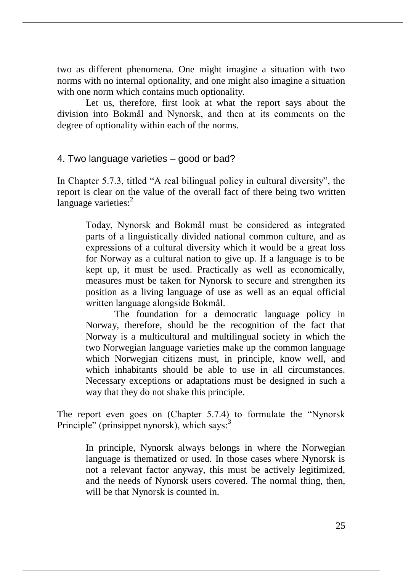two as different phenomena. One might imagine a situation with two norms with no internal optionality, and one might also imagine a situation with one norm which contains much optionality.

Let us, therefore, first look at what the report says about the division into Bokmål and Nynorsk, and then at its comments on the degree of optionality within each of the norms.

## 4. Two language varieties – good or bad?

In Chapter 5.7.3, titled "A real bilingual policy in cultural diversity", the report is clear on the value of the overall fact of there being two written language varieties: $<sup>2</sup>$ </sup>

Today, Nynorsk and Bokmål must be considered as integrated parts of a linguistically divided national common culture, and as expressions of a cultural diversity which it would be a great loss for Norway as a cultural nation to give up. If a language is to be kept up, it must be used. Practically as well as economically, measures must be taken for Nynorsk to secure and strengthen its position as a living language of use as well as an equal official written language alongside Bokmål.

The foundation for a democratic language policy in Norway, therefore, should be the recognition of the fact that Norway is a multicultural and multilingual society in which the two Norwegian language varieties make up the common language which Norwegian citizens must, in principle, know well, and which inhabitants should be able to use in all circumstances. Necessary exceptions or adaptations must be designed in such a way that they do not shake this principle.

The report even goes on (Chapter 5.7.4) to formulate the "Nynorsk Principle" (prinsippet nynorsk), which says:<sup>3</sup>

In principle, Nynorsk always belongs in where the Norwegian language is thematized or used. In those cases where Nynorsk is not a relevant factor anyway, this must be actively legitimized, and the needs of Nynorsk users covered. The normal thing, then, will be that Nynorsk is counted in.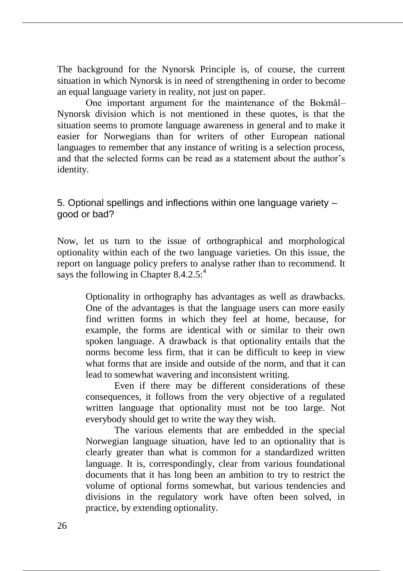The background for the Nynorsk Principle is, of course, the current situation in which Nynorsk is in need of strengthening in order to become an equal language variety in reality, not just on paper.

One important argument for the maintenance of the Bokmål– Nynorsk division which is not mentioned in these quotes, is that the situation seems to promote language awareness in general and to make it easier for Norwegians than for writers of other European national languages to remember that any instance of writing is a selection process, and that the selected forms can be read as a statement about the author's identity.

5. Optional spellings and inflections within one language variety – good or bad?

Now, let us turn to the issue of orthographical and morphological optionality within each of the two language varieties. On this issue, the report on language policy prefers to analyse rather than to recommend. It says the following in Chapter  $8.4.2.5$ :<sup>4</sup>

Optionality in orthography has advantages as well as drawbacks. One of the advantages is that the language users can more easily find written forms in which they feel at home, because, for example, the forms are identical with or similar to their own spoken language. A drawback is that optionality entails that the norms become less firm, that it can be difficult to keep in view what forms that are inside and outside of the norm, and that it can lead to somewhat wavering and inconsistent writing.

Even if there may be different considerations of these consequences, it follows from the very objective of a regulated written language that optionality must not be too large. Not everybody should get to write the way they wish.

The various elements that are embedded in the special Norwegian language situation, have led to an optionality that is clearly greater than what is common for a standardized written language. It is, correspondingly, clear from various foundational documents that it has long been an ambition to try to restrict the volume of optional forms somewhat, but various tendencies and divisions in the regulatory work have often been solved, in practice, by extending optionality.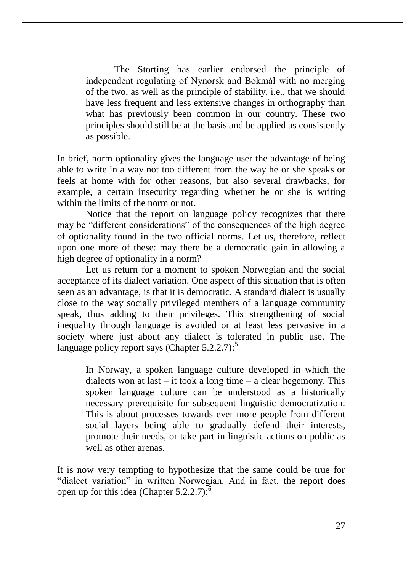The Storting has earlier endorsed the principle of independent regulating of Nynorsk and Bokmål with no merging of the two, as well as the principle of stability, i.e., that we should have less frequent and less extensive changes in orthography than what has previously been common in our country. These two principles should still be at the basis and be applied as consistently as possible.

In brief, norm optionality gives the language user the advantage of being able to write in a way not too different from the way he or she speaks or feels at home with for other reasons, but also several drawbacks, for example, a certain insecurity regarding whether he or she is writing within the limits of the norm or not.

Notice that the report on language policy recognizes that there may be "different considerations" of the consequences of the high degree of optionality found in the two official norms. Let us, therefore, reflect upon one more of these: may there be a democratic gain in allowing a high degree of optionality in a norm?

Let us return for a moment to spoken Norwegian and the social acceptance of its dialect variation. One aspect of this situation that is often seen as an advantage, is that it is democratic. A standard dialect is usually close to the way socially privileged members of a language community speak, thus adding to their privileges. This strengthening of social inequality through language is avoided or at least less pervasive in a society where just about any dialect is tolerated in public use. The language policy report says (Chapter  $5.2.2.7$ ):<sup>5</sup>

In Norway, a spoken language culture developed in which the dialects won at last  $-$  it took a long time  $-$  a clear hegemony. This spoken language culture can be understood as a historically necessary prerequisite for subsequent linguistic democratization. This is about processes towards ever more people from different social layers being able to gradually defend their interests, promote their needs, or take part in linguistic actions on public as well as other arenas.

It is now very tempting to hypothesize that the same could be true for "dialect variation" in written Norwegian. And in fact, the report does open up for this idea (Chapter  $5.2.2.7$ ): $^{6}$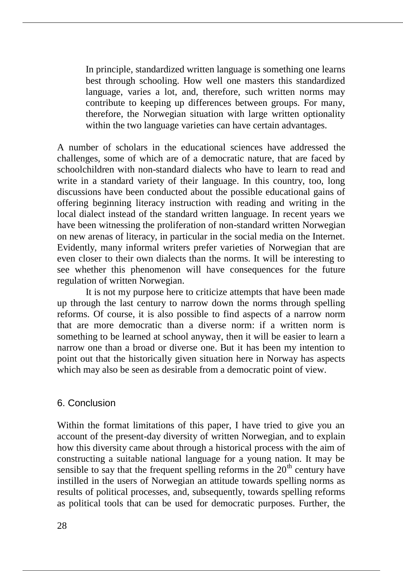In principle, standardized written language is something one learns best through schooling. How well one masters this standardized language, varies a lot, and, therefore, such written norms may contribute to keeping up differences between groups. For many, therefore, the Norwegian situation with large written optionality within the two language varieties can have certain advantages.

A number of scholars in the educational sciences have addressed the challenges, some of which are of a democratic nature, that are faced by schoolchildren with non-standard dialects who have to learn to read and write in a standard variety of their language. In this country, too, long discussions have been conducted about the possible educational gains of offering beginning literacy instruction with reading and writing in the local dialect instead of the standard written language. In recent years we have been witnessing the proliferation of non-standard written Norwegian on new arenas of literacy, in particular in the social media on the Internet. Evidently, many informal writers prefer varieties of Norwegian that are even closer to their own dialects than the norms. It will be interesting to see whether this phenomenon will have consequences for the future regulation of written Norwegian.

It is not my purpose here to criticize attempts that have been made up through the last century to narrow down the norms through spelling reforms. Of course, it is also possible to find aspects of a narrow norm that are more democratic than a diverse norm: if a written norm is something to be learned at school anyway, then it will be easier to learn a narrow one than a broad or diverse one. But it has been my intention to point out that the historically given situation here in Norway has aspects which may also be seen as desirable from a democratic point of view.

#### 6. Conclusion

Within the format limitations of this paper, I have tried to give you an account of the present-day diversity of written Norwegian, and to explain how this diversity came about through a historical process with the aim of constructing a suitable national language for a young nation. It may be sensible to say that the frequent spelling reforms in the  $20<sup>th</sup>$  century have instilled in the users of Norwegian an attitude towards spelling norms as results of political processes, and, subsequently, towards spelling reforms as political tools that can be used for democratic purposes. Further, the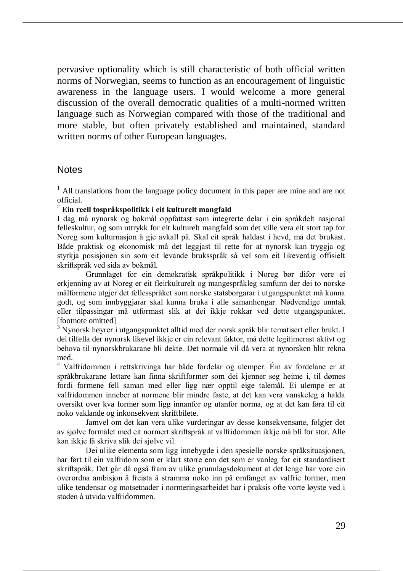pervasive optionality which is still characteristic of both official written norms of Norwegian, seems to function as an encouragement of linguistic awareness in the language users. I would welcome a more general discussion of the overall democratic qualities of a multi-normed written language such as Norwegian compared with those of the traditional and more stable, but often privately established and maintained, standard written norms of other European languages.

#### **Notes**

 $<sup>1</sup>$  All translations from the language policy document in this paper are mine and are not</sup> official.

#### <sup>2</sup> **Ein reell tospråkspolitikk i eit kulturelt mangfald**

I dag må nynorsk og bokmål oppfattast som integrerte delar i ein språkdelt nasjonal felleskultur, og som uttrykk for eit kulturelt mangfald som det ville vera eit stort tap for Noreg som kulturnasjon å gje avkall på. Skal eit språk haldast i hevd, må det brukast. Både praktisk og økonomisk må det leggjast til rette for at nynorsk kan tryggja og styrkja posisjonen sin som eit levande bruksspråk så vel som eit likeverdig offisielt skriftspråk ved sida av bokmål.

Grunnlaget for ein demokratisk språkpolitikk i Noreg bør difor vere ei erkjenning av at Noreg er eit fleirkulturelt og mangespråkleg samfunn der dei to norske målformene utgjer det fellesspråket som norske statsborgarar i utgangspunktet må kunna godt, og som innbyggjarar skal kunna bruka i alle samanhengar. Nødvendige unntak eller tilpassingar må utformast slik at dei ikkje rokkar ved dette utgangspunktet. [footnote omitted]

<sup>3</sup> Nynorsk høyrer i utgangspunktet alltid med der norsk språk blir tematisert eller brukt. I dei tilfella der nynorsk likevel ikkje er ein relevant faktor, må dette legitimerast aktivt og behova til nynorskbrukarane bli dekte. Det normale vil då vera at nynorsken blir rekna med.

<sup>4</sup> Valfridommen i rettskrivinga har både fordelar og ulemper. Éin av fordelane er at språkbrukarane lettare kan finna skriftformer som dei kjenner seg heime i, til dømes fordi formene fell saman med eller ligg nær opptil eige talemål. Ei ulempe er at valfridommen inneber at normene blir mindre faste, at det kan vera vanskeleg å halda oversikt over kva former som ligg innanfor og utanfor norma, og at det kan føra til eit noko vaklande og inkonsekvent skriftbilete.

Jamvel om det kan vera ulike vurderingar av desse konsekvensane, følgjer det av sjølve formålet med eit normert skriftspråk at valfridommen ikkje må bli for stor. Alle kan ikkje få skriva slik dei sjølve vil.

Dei ulike elementa som ligg innebygde i den spesielle norske språksituasjonen, har ført til ein valfridom som er klart større enn det som er vanleg for eit standardisert skriftspråk. Det går då også fram av ulike grunnlagsdokument at det lenge har vore ein overordna ambisjon å freista å stramma noko inn på omfanget av valfrie former, men ulike tendensar og motsetnader i normeringsarbeidet har i praksis ofte vorte løyste ved i staden å utvida valfridommen.